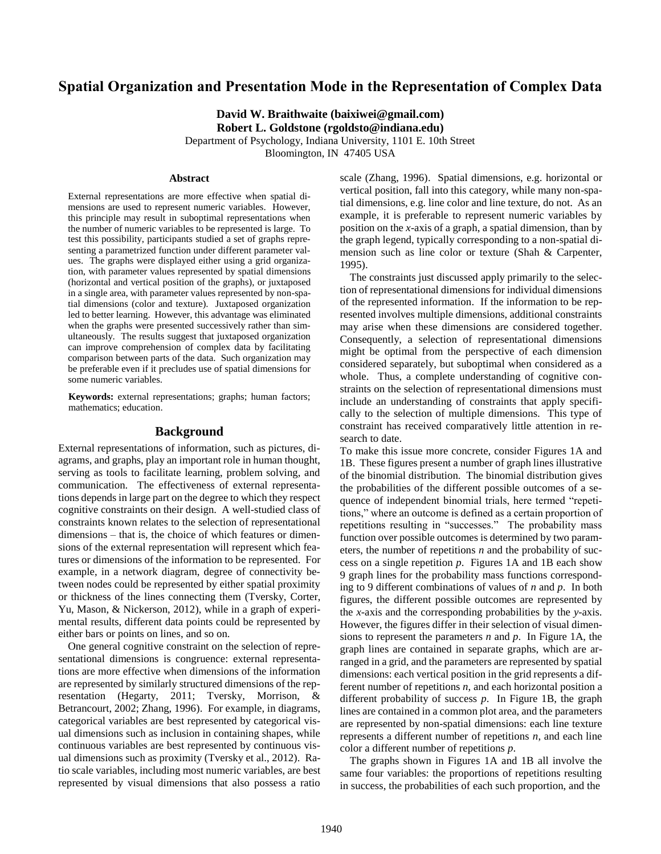# **Spatial Organization and Presentation Mode in the Representation of Complex Data**

**David W. Braithwaite (baixiwei@gmail.com) Robert L. Goldstone (rgoldsto@indiana.edu)** Department of Psychology, Indiana University, 1101 E. 10th Street

Bloomington, IN 47405 USA

#### **Abstract**

External representations are more effective when spatial dimensions are used to represent numeric variables. However, this principle may result in suboptimal representations when the number of numeric variables to be represented is large. To test this possibility, participants studied a set of graphs representing a parametrized function under different parameter values. The graphs were displayed either using a grid organization, with parameter values represented by spatial dimensions (horizontal and vertical position of the graphs), or juxtaposed in a single area, with parameter values represented by non-spatial dimensions (color and texture). Juxtaposed organization led to better learning. However, this advantage was eliminated when the graphs were presented successively rather than simultaneously. The results suggest that juxtaposed organization can improve comprehension of complex data by facilitating comparison between parts of the data. Such organization may be preferable even if it precludes use of spatial dimensions for some numeric variables.

**Keywords:** external representations; graphs; human factors; mathematics; education.

## **Background**

External representations of information, such as pictures, diagrams, and graphs, play an important role in human thought, serving as tools to facilitate learning, problem solving, and communication. The effectiveness of external representations depends in large part on the degree to which they respect cognitive constraints on their design. A well-studied class of constraints known relates to the selection of representational dimensions – that is, the choice of which features or dimensions of the external representation will represent which features or dimensions of the information to be represented. For example, in a network diagram, degree of connectivity between nodes could be represented by either spatial proximity or thickness of the lines connecting them (Tversky, Corter, Yu, Mason, & Nickerson, 2012), while in a graph of experimental results, different data points could be represented by either bars or points on lines, and so on.

One general cognitive constraint on the selection of representational dimensions is congruence: external representations are more effective when dimensions of the information are represented by similarly structured dimensions of the representation (Hegarty, 2011; Tversky, Morrison, & Betrancourt, 2002; Zhang, 1996). For example, in diagrams, categorical variables are best represented by categorical visual dimensions such as inclusion in containing shapes, while continuous variables are best represented by continuous visual dimensions such as proximity (Tversky et al., 2012). Ratio scale variables, including most numeric variables, are best represented by visual dimensions that also possess a ratio scale (Zhang, 1996). Spatial dimensions, e.g. horizontal or vertical position, fall into this category, while many non-spatial dimensions, e.g. line color and line texture, do not. As an example, it is preferable to represent numeric variables by position on the *x*-axis of a graph, a spatial dimension, than by the graph legend, typically corresponding to a non-spatial dimension such as line color or texture (Shah & Carpenter, 1995).

The constraints just discussed apply primarily to the selection of representational dimensions for individual dimensions of the represented information. If the information to be represented involves multiple dimensions, additional constraints may arise when these dimensions are considered together. Consequently, a selection of representational dimensions might be optimal from the perspective of each dimension considered separately, but suboptimal when considered as a whole. Thus, a complete understanding of cognitive constraints on the selection of representational dimensions must include an understanding of constraints that apply specifically to the selection of multiple dimensions. This type of constraint has received comparatively little attention in research to date.

To make this issue more concrete, consider Figures 1A and 1B. These figures present a number of graph lines illustrative of the binomial distribution. The binomial distribution gives the probabilities of the different possible outcomes of a sequence of independent binomial trials, here termed "repetitions," where an outcome is defined as a certain proportion of repetitions resulting in "successes." The probability mass function over possible outcomes is determined by two parameters, the number of repetitions *n* and the probability of success on a single repetition *p*. Figures 1A and 1B each show 9 graph lines for the probability mass functions corresponding to 9 different combinations of values of *n* and *p*. In both figures, the different possible outcomes are represented by the *x*-axis and the corresponding probabilities by the *y*-axis. However, the figures differ in their selection of visual dimensions to represent the parameters *n* and *p*. In Figure 1A, the graph lines are contained in separate graphs, which are arranged in a grid, and the parameters are represented by spatial dimensions: each vertical position in the grid represents a different number of repetitions *n*, and each horizontal position a different probability of success *p*. In Figure 1B, the graph lines are contained in a common plot area, and the parameters are represented by non-spatial dimensions: each line texture represents a different number of repetitions *n*, and each line color a different number of repetitions *p*.

The graphs shown in Figures 1A and 1B all involve the same four variables: the proportions of repetitions resulting in success, the probabilities of each such proportion, and the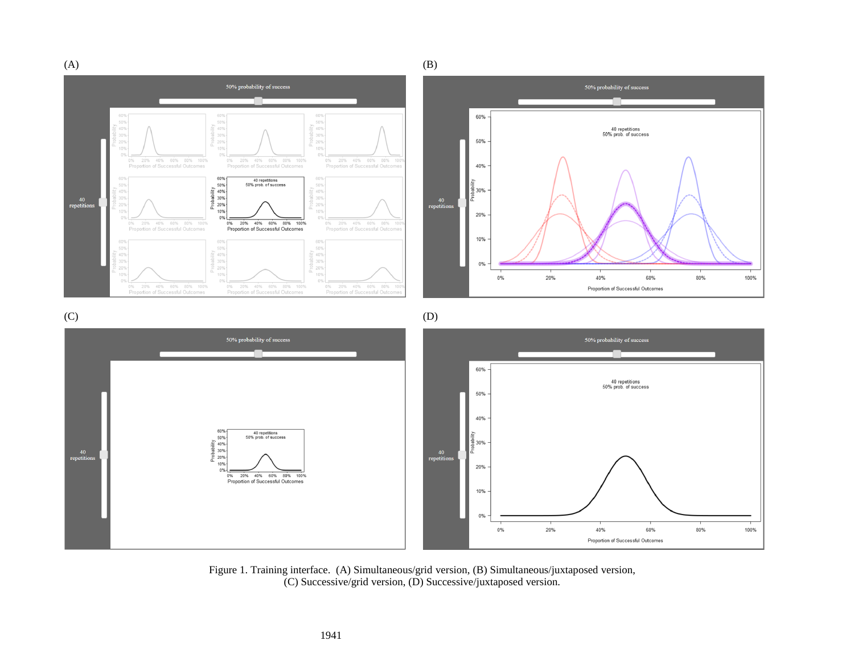$(A)$  (B) 50% probability of success 50% probability of success 60% 40% 40 repetitions<br>50% prob. of success 40% 50% 20% 40% 60% 80% 100%<br>ortion of Successful Outcomes 20% 40% 60% 80% 100%  $0\%$ 20% 40% 60% 80% 10 40% of Successful Outcom Proportion of Successful Out 60% 40 repetitions<br>50% prob. of success 50%  $\frac{2}{\sqrt{2}}$  40% 흕 30% 40%  $40$ <br>repetition 40<br>repetition  $\frac{2}{6}$  20% 10% 20%  $0%$ 20% 40% 60% 80% 10 20% 40% 60% 80% 100% 20% 40% 60% 80% 100%  $0%$ 0% 20% 40% 60% 80% 100%<br>Proportion of Successful Outcomes 0% Proportion of Successful Outcomes on of Successful Outo 10% 40% 40% 40%  $30%$ 0%  $0%$ 20% 40% 60% 80% 100% 0% 20% 40% 60% 80% 100%<br>Proportion of Successful Outcomes 0% 20% 40% 60% 80% 10<br>Proportion of Successful Outcome  $100%$ 0% 20% 40% 60% 80% 1009<br>Proportion of Successful Outcomes 100% Proportion of Successful Outcomes  $(C)$  (D) 50% probability of success 50% probability of success 60% 40 repetitions<br>50% prob. of success 50% 40% 60% 40 repetitions<br>50% prob. of success 50% Probability<br>
20%<br>
20%<br>
20% 흥 30%  $40$ <br>repetition  $40$ <br>repetition  $10%$ 20%  $0%$ 0% 20% 40% 60% 80% 100%<br>Proportion of Successful Outcomes 10%  $0<sup>9</sup>$ 20% 100%  $0\%$ 40% 60% 80% Proportion of Successful Outcomes

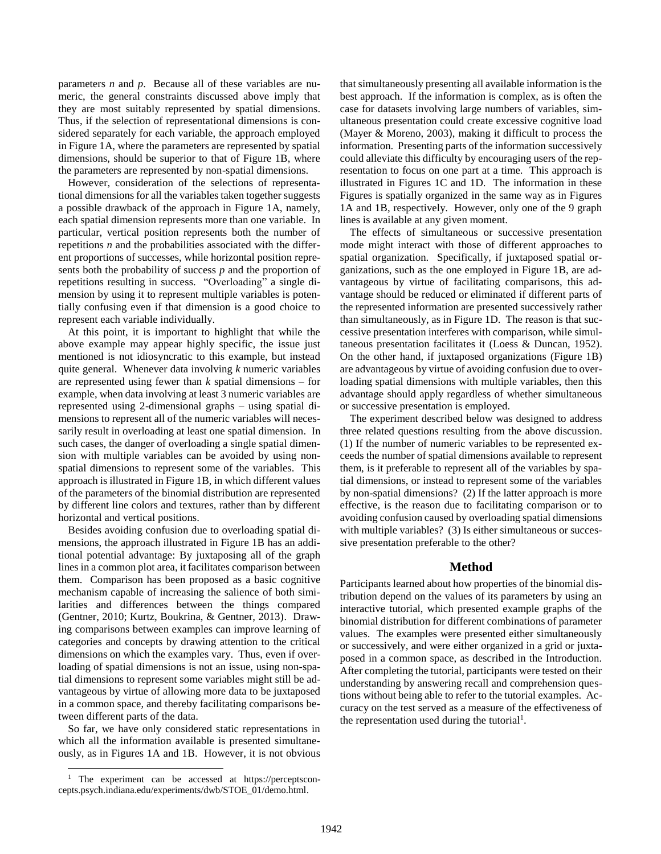parameters *n* and *p*. Because all of these variables are numeric, the general constraints discussed above imply that they are most suitably represented by spatial dimensions. Thus, if the selection of representational dimensions is considered separately for each variable, the approach employed in Figure 1A, where the parameters are represented by spatial dimensions, should be superior to that of Figure 1B, where the parameters are represented by non-spatial dimensions.

However, consideration of the selections of representational dimensions for all the variables taken together suggests a possible drawback of the approach in Figure 1A, namely, each spatial dimension represents more than one variable. In particular, vertical position represents both the number of repetitions *n* and the probabilities associated with the different proportions of successes, while horizontal position represents both the probability of success *p* and the proportion of repetitions resulting in success. "Overloading" a single dimension by using it to represent multiple variables is potentially confusing even if that dimension is a good choice to represent each variable individually.

At this point, it is important to highlight that while the above example may appear highly specific, the issue just mentioned is not idiosyncratic to this example, but instead quite general. Whenever data involving *k* numeric variables are represented using fewer than *k* spatial dimensions – for example, when data involving at least 3 numeric variables are represented using 2-dimensional graphs – using spatial dimensions to represent all of the numeric variables will necessarily result in overloading at least one spatial dimension. In such cases, the danger of overloading a single spatial dimension with multiple variables can be avoided by using nonspatial dimensions to represent some of the variables. This approach is illustrated in Figure 1B, in which different values of the parameters of the binomial distribution are represented by different line colors and textures, rather than by different horizontal and vertical positions.

Besides avoiding confusion due to overloading spatial dimensions, the approach illustrated in Figure 1B has an additional potential advantage: By juxtaposing all of the graph lines in a common plot area, it facilitates comparison between them. Comparison has been proposed as a basic cognitive mechanism capable of increasing the salience of both similarities and differences between the things compared (Gentner, 2010; Kurtz, Boukrina, & Gentner, 2013). Drawing comparisons between examples can improve learning of categories and concepts by drawing attention to the critical dimensions on which the examples vary. Thus, even if overloading of spatial dimensions is not an issue, using non-spatial dimensions to represent some variables might still be advantageous by virtue of allowing more data to be juxtaposed in a common space, and thereby facilitating comparisons between different parts of the data.

So far, we have only considered static representations in which all the information available is presented simultaneously, as in Figures 1A and 1B. However, it is not obvious

 $\overline{a}$ 

that simultaneously presenting all available information is the best approach. If the information is complex, as is often the case for datasets involving large numbers of variables, simultaneous presentation could create excessive cognitive load (Mayer & Moreno, 2003), making it difficult to process the information. Presenting parts of the information successively could alleviate this difficulty by encouraging users of the representation to focus on one part at a time. This approach is illustrated in Figures 1C and 1D. The information in these Figures is spatially organized in the same way as in Figures 1A and 1B, respectively. However, only one of the 9 graph lines is available at any given moment.

The effects of simultaneous or successive presentation mode might interact with those of different approaches to spatial organization. Specifically, if juxtaposed spatial organizations, such as the one employed in Figure 1B, are advantageous by virtue of facilitating comparisons, this advantage should be reduced or eliminated if different parts of the represented information are presented successively rather than simultaneously, as in Figure 1D. The reason is that successive presentation interferes with comparison, while simultaneous presentation facilitates it (Loess & Duncan, 1952). On the other hand, if juxtaposed organizations (Figure 1B) are advantageous by virtue of avoiding confusion due to overloading spatial dimensions with multiple variables, then this advantage should apply regardless of whether simultaneous or successive presentation is employed.

The experiment described below was designed to address three related questions resulting from the above discussion. (1) If the number of numeric variables to be represented exceeds the number of spatial dimensions available to represent them, is it preferable to represent all of the variables by spatial dimensions, or instead to represent some of the variables by non-spatial dimensions? (2) If the latter approach is more effective, is the reason due to facilitating comparison or to avoiding confusion caused by overloading spatial dimensions with multiple variables? (3) Is either simultaneous or successive presentation preferable to the other?

## **Method**

Participants learned about how properties of the binomial distribution depend on the values of its parameters by using an interactive tutorial, which presented example graphs of the binomial distribution for different combinations of parameter values. The examples were presented either simultaneously or successively, and were either organized in a grid or juxtaposed in a common space, as described in the Introduction. After completing the tutorial, participants were tested on their understanding by answering recall and comprehension questions without being able to refer to the tutorial examples. Accuracy on the test served as a measure of the effectiveness of the representation used during the tutorial<sup>1</sup>.

<sup>&</sup>lt;sup>1</sup> The experiment can be accessed at https://perceptsconcepts.psych.indiana.edu/experiments/dwb/STOE\_01/demo.html.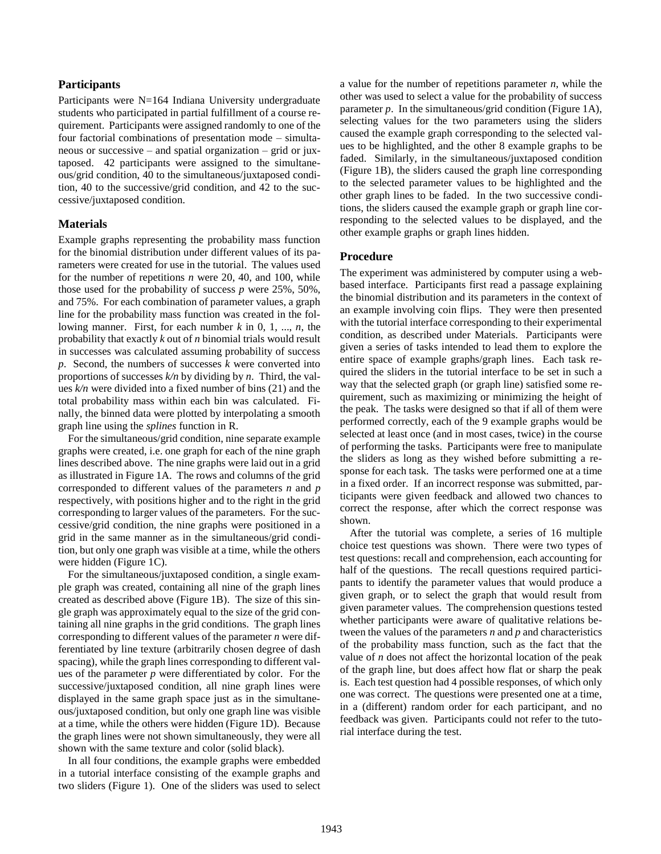## **Participants**

Participants were N=164 Indiana University undergraduate students who participated in partial fulfillment of a course requirement. Participants were assigned randomly to one of the four factorial combinations of presentation mode – simultaneous or successive – and spatial organization – grid or juxtaposed. 42 participants were assigned to the simultaneous/grid condition, 40 to the simultaneous/juxtaposed condition, 40 to the successive/grid condition, and 42 to the successive/juxtaposed condition.

#### **Materials**

Example graphs representing the probability mass function for the binomial distribution under different values of its parameters were created for use in the tutorial. The values used for the number of repetitions *n* were 20, 40, and 100, while those used for the probability of success *p* were 25%, 50%, and 75%. For each combination of parameter values, a graph line for the probability mass function was created in the following manner. First, for each number *k* in 0, 1, ..., *n*, the probability that exactly *k* out of *n* binomial trials would result in successes was calculated assuming probability of success *p*. Second, the numbers of successes *k* were converted into proportions of successes *k/n* by dividing by *n*. Third, the values *k/n* were divided into a fixed number of bins (21) and the total probability mass within each bin was calculated. Finally, the binned data were plotted by interpolating a smooth graph line using the *splines* function in R.

For the simultaneous/grid condition, nine separate example graphs were created, i.e. one graph for each of the nine graph lines described above. The nine graphs were laid out in a grid as illustrated in Figure 1A. The rows and columns of the grid corresponded to different values of the parameters *n* and *p* respectively, with positions higher and to the right in the grid corresponding to larger values of the parameters. For the successive/grid condition, the nine graphs were positioned in a grid in the same manner as in the simultaneous/grid condition, but only one graph was visible at a time, while the others were hidden (Figure 1C).

For the simultaneous/juxtaposed condition, a single example graph was created, containing all nine of the graph lines created as described above (Figure 1B). The size of this single graph was approximately equal to the size of the grid containing all nine graphs in the grid conditions. The graph lines corresponding to different values of the parameter *n* were differentiated by line texture (arbitrarily chosen degree of dash spacing), while the graph lines corresponding to different values of the parameter *p* were differentiated by color. For the successive/juxtaposed condition, all nine graph lines were displayed in the same graph space just as in the simultaneous/juxtaposed condition, but only one graph line was visible at a time, while the others were hidden (Figure 1D). Because the graph lines were not shown simultaneously, they were all shown with the same texture and color (solid black).

In all four conditions, the example graphs were embedded in a tutorial interface consisting of the example graphs and two sliders (Figure 1). One of the sliders was used to select a value for the number of repetitions parameter *n*, while the other was used to select a value for the probability of success parameter *p*. In the simultaneous/grid condition (Figure 1A), selecting values for the two parameters using the sliders caused the example graph corresponding to the selected values to be highlighted, and the other 8 example graphs to be faded. Similarly, in the simultaneous/juxtaposed condition (Figure 1B), the sliders caused the graph line corresponding to the selected parameter values to be highlighted and the other graph lines to be faded. In the two successive conditions, the sliders caused the example graph or graph line corresponding to the selected values to be displayed, and the other example graphs or graph lines hidden.

#### **Procedure**

The experiment was administered by computer using a webbased interface. Participants first read a passage explaining the binomial distribution and its parameters in the context of an example involving coin flips. They were then presented with the tutorial interface corresponding to their experimental condition, as described under Materials. Participants were given a series of tasks intended to lead them to explore the entire space of example graphs/graph lines. Each task required the sliders in the tutorial interface to be set in such a way that the selected graph (or graph line) satisfied some requirement, such as maximizing or minimizing the height of the peak. The tasks were designed so that if all of them were performed correctly, each of the 9 example graphs would be selected at least once (and in most cases, twice) in the course of performing the tasks. Participants were free to manipulate the sliders as long as they wished before submitting a response for each task. The tasks were performed one at a time in a fixed order. If an incorrect response was submitted, participants were given feedback and allowed two chances to correct the response, after which the correct response was shown.

After the tutorial was complete, a series of 16 multiple choice test questions was shown. There were two types of test questions: recall and comprehension, each accounting for half of the questions. The recall questions required participants to identify the parameter values that would produce a given graph, or to select the graph that would result from given parameter values. The comprehension questions tested whether participants were aware of qualitative relations between the values of the parameters *n* and *p* and characteristics of the probability mass function, such as the fact that the value of *n* does not affect the horizontal location of the peak of the graph line, but does affect how flat or sharp the peak is. Each test question had 4 possible responses, of which only one was correct. The questions were presented one at a time, in a (different) random order for each participant, and no feedback was given. Participants could not refer to the tutorial interface during the test.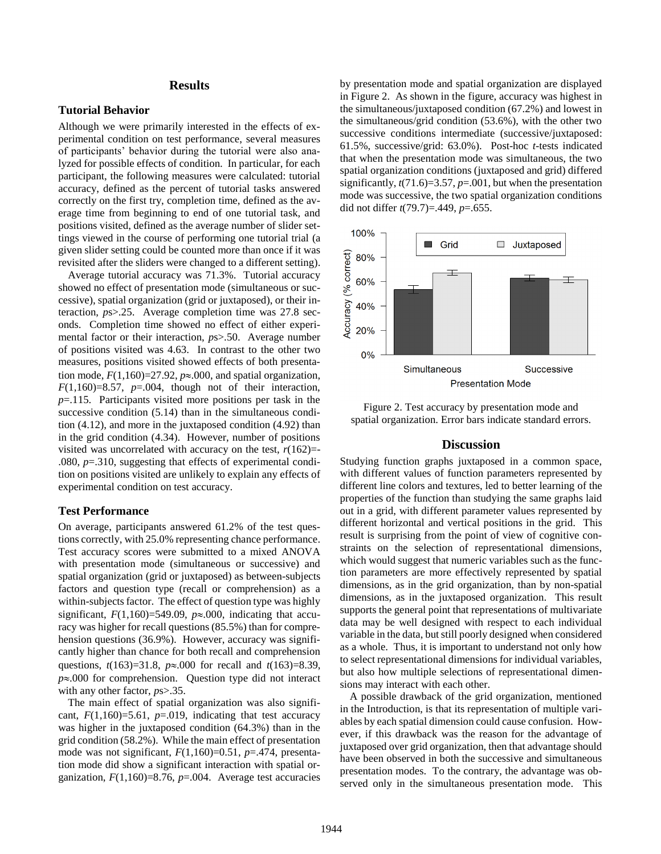## **Results**

#### **Tutorial Behavior**

Although we were primarily interested in the effects of experimental condition on test performance, several measures of participants' behavior during the tutorial were also analyzed for possible effects of condition. In particular, for each participant, the following measures were calculated: tutorial accuracy, defined as the percent of tutorial tasks answered correctly on the first try, completion time, defined as the average time from beginning to end of one tutorial task, and positions visited, defined as the average number of slider settings viewed in the course of performing one tutorial trial (a given slider setting could be counted more than once if it was revisited after the sliders were changed to a different setting).

Average tutorial accuracy was 71.3%. Tutorial accuracy showed no effect of presentation mode (simultaneous or successive), spatial organization (grid or juxtaposed), or their interaction, *p*s>.25. Average completion time was 27.8 seconds. Completion time showed no effect of either experimental factor or their interaction, *p*s>.50. Average number of positions visited was 4.63. In contrast to the other two measures, positions visited showed effects of both presentation mode,  $F(1,160)=27.92$ ,  $p\approx 0.000$ , and spatial organization,  $F(1,160)=8.57$ ,  $p=.004$ , though not of their interaction, *p*=.115. Participants visited more positions per task in the successive condition (5.14) than in the simultaneous condition (4.12), and more in the juxtaposed condition (4.92) than in the grid condition (4.34). However, number of positions visited was uncorrelated with accuracy on the test,  $r(162)$ =-.080, *p*=.310, suggesting that effects of experimental condition on positions visited are unlikely to explain any effects of experimental condition on test accuracy.

## **Test Performance**

On average, participants answered 61.2% of the test questions correctly, with 25.0% representing chance performance. Test accuracy scores were submitted to a mixed ANOVA with presentation mode (simultaneous or successive) and spatial organization (grid or juxtaposed) as between-subjects factors and question type (recall or comprehension) as a within-subjects factor. The effect of question type was highly significant,  $F(1,160)=549.09$ ,  $p\approx 0.000$ , indicating that accuracy was higher for recall questions (85.5%) than for comprehension questions (36.9%). However, accuracy was significantly higher than chance for both recall and comprehension questions,  $t(163)=31.8$ ,  $p \approx 0.00$  for recall and  $t(163)=8.39$ ,  $p \approx 0.000$  for comprehension. Question type did not interact with any other factor,  $ps > .35$ .

The main effect of spatial organization was also significant,  $F(1,160)=5.61$ ,  $p=.019$ , indicating that test accuracy was higher in the juxtaposed condition (64.3%) than in the grid condition (58.2%). While the main effect of presentation mode was not significant,  $F(1,160)=0.51$ ,  $p=.474$ , presentation mode did show a significant interaction with spatial organization, *F*(1,160)=8.76, *p*=.004. Average test accuracies by presentation mode and spatial organization are displayed in Figure 2. As shown in the figure, accuracy was highest in the simultaneous/juxtaposed condition (67.2%) and lowest in the simultaneous/grid condition (53.6%), with the other two successive conditions intermediate (successive/juxtaposed: 61.5%, successive/grid: 63.0%). Post-hoc *t*-tests indicated that when the presentation mode was simultaneous, the two spatial organization conditions (juxtaposed and grid) differed significantly, *t*(71.6)=3.57, *p*=.001, but when the presentation mode was successive, the two spatial organization conditions did not differ *t*(79.7)=.449, *p*=.655.



Figure 2. Test accuracy by presentation mode and spatial organization. Error bars indicate standard errors.

## **Discussion**

Studying function graphs juxtaposed in a common space, with different values of function parameters represented by different line colors and textures, led to better learning of the properties of the function than studying the same graphs laid out in a grid, with different parameter values represented by different horizontal and vertical positions in the grid. This result is surprising from the point of view of cognitive constraints on the selection of representational dimensions, which would suggest that numeric variables such as the function parameters are more effectively represented by spatial dimensions, as in the grid organization, than by non-spatial dimensions, as in the juxtaposed organization. This result supports the general point that representations of multivariate data may be well designed with respect to each individual variable in the data, but still poorly designed when considered as a whole. Thus, it is important to understand not only how to select representational dimensions for individual variables, but also how multiple selections of representational dimensions may interact with each other.

A possible drawback of the grid organization, mentioned in the Introduction, is that its representation of multiple variables by each spatial dimension could cause confusion. However, if this drawback was the reason for the advantage of juxtaposed over grid organization, then that advantage should have been observed in both the successive and simultaneous presentation modes. To the contrary, the advantage was observed only in the simultaneous presentation mode. This